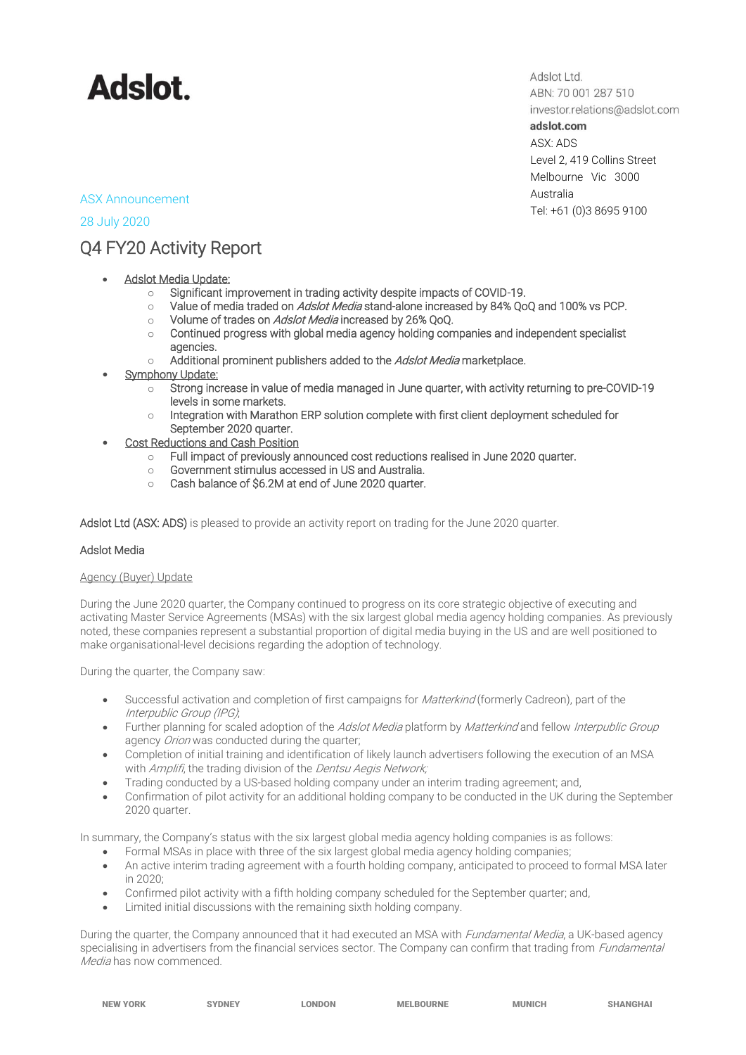

Adslot Ltd. ABN: 70 001 287 510 investor.relations@adslot.com adslot.com ASX: ADS Level 2, 419 Collins Street Melbourne Vic 3000 Australia Tel: +61 (0)3 8695 9100

## ASX Announcement

## 28 July 2020

## Q4 FY20 Activity Report

- **Adslot Media Update:** 
	- o Significant improvement in trading activity despite impacts of COVID-19.
	- $\circ$  Value of media traded on Adslot Media stand-alone increased by 84% QoQ and 100% vs PCP.
	- o Volume of trades on Adslot Media increased by 26% QoQ.
	- o Continued progress with global media agency holding companies and independent specialist agencies.
	- $\circ$  Additional prominent publishers added to the Adslot Media marketplace.
- **Symphony Update:** 
	- o Strong increase in value of media managed in June quarter, with activity returning to pre-COVID-19 levels in some markets.
	- $\circ$  Integration with Marathon ERP solution complete with first client deployment scheduled for September 2020 quarter.
- **Cost Reductions and Cash Position** 
	- o Full impact of previously announced cost reductions realised in June 2020 quarter.
	- o Government stimulus accessed in US and Australia.
	- o Cash balance of \$6.2M at end of June 2020 quarter.

Adslot Ltd (ASX: ADS) is pleased to provide an activity report on trading for the June 2020 quarter.

### Adslot Media

### Agency (Buyer) Update

During the June 2020 quarter, the Company continued to progress on its core strategic objective of executing and activating Master Service Agreements (MSAs) with the six largest global media agency holding companies. As previously noted, these companies represent a substantial proportion of digital media buying in the US and are well positioned to make organisational-level decisions regarding the adoption of technology.

During the quarter, the Company saw:

- Successful activation and completion of first campaigns for *Matterkind* (formerly Cadreon), part of the Interpublic Group (IPG);
- Further planning for scaled adoption of the Adslot Media platform by Matterkind and fellow Interpublic Group agency Orion was conducted during the quarter;
- Completion of initial training and identification of likely launch advertisers following the execution of an MSA with Amplifi, the trading division of the Dentsu Aegis Network;
- Trading conducted by a US-based holding company under an interim trading agreement; and,
- Confirmation of pilot activity for an additional holding company to be conducted in the UK during the September 2020 quarter.

In summary, the Company's status with the six largest global media agency holding companies is as follows:

- Formal MSAs in place with three of the six largest global media agency holding companies;
- An active interim trading agreement with a fourth holding company, anticipated to proceed to formal MSA later in 2020;
- Confirmed pilot activity with a fifth holding company scheduled for the September quarter; and,
- Limited initial discussions with the remaining sixth holding company.

During the quarter, the Company announced that it had executed an MSA with *Fundamental Media*, a UK-based agency specialising in advertisers from the financial services sector. The Company can confirm that trading from *Fundamental* Media has now commenced.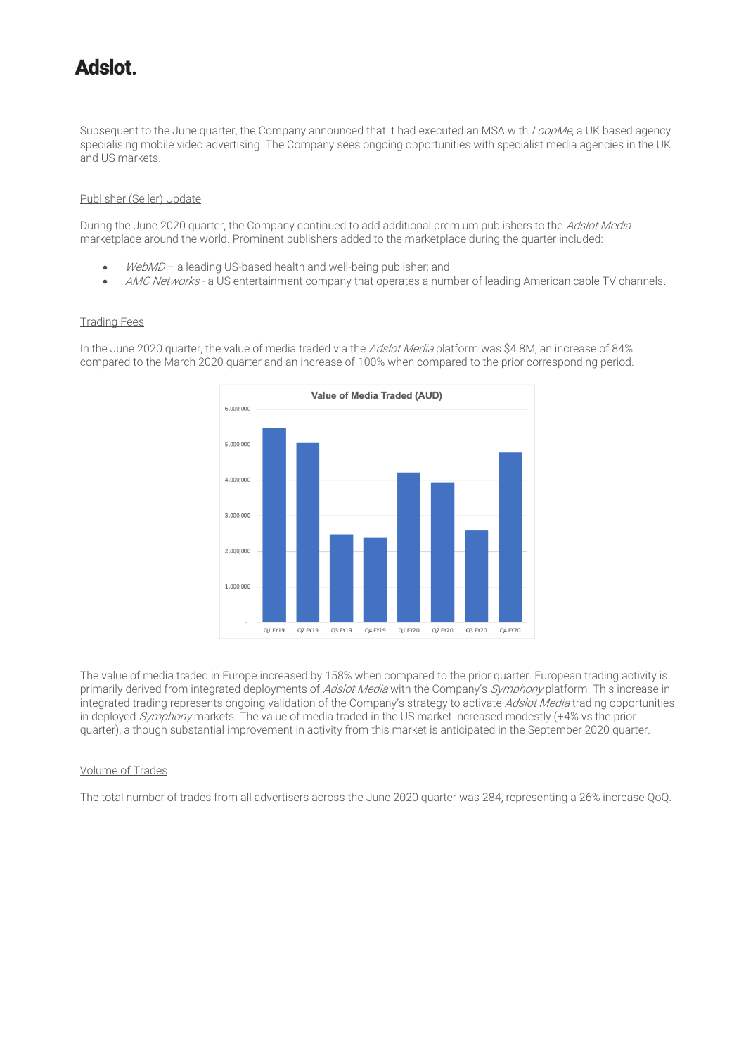# tolahA

Subsequent to the June quarter, the Company announced that it had executed an MSA with LoopMe, a UK based agency specialising mobile video advertising. The Company sees ongoing opportunities with specialist media agencies in the UK and US markets.

### Publisher (Seller) Update

During the June 2020 quarter, the Company continued to add additional premium publishers to the Adslot Media marketplace around the world. Prominent publishers added to the marketplace during the quarter included:

- WebMD a leading US-based health and well-being publisher; and
- AMC Networks a US entertainment company that operates a number of leading American cable TV channels.

#### Trading Fees

In the June 2020 quarter, the value of media traded via the Adslot Media platform was \$4.8M, an increase of 84% compared to the March 2020 quarter and an increase of 100% when compared to the prior corresponding period.



The value of media traded in Europe increased by 158% when compared to the prior quarter. European trading activity is primarily derived from integrated deployments of Adslot Media with the Company's Symphony platform. This increase in integrated trading represents ongoing validation of the Company's strategy to activate Adslot Media trading opportunities in deployed Symphony markets. The value of media traded in the US market increased modestly (+4% vs the prior quarter), although substantial improvement in activity from this market is anticipated in the September 2020 quarter.

### Volume of Trades

The total number of trades from all advertisers across the June 2020 quarter was 284, representing a 26% increase QoQ.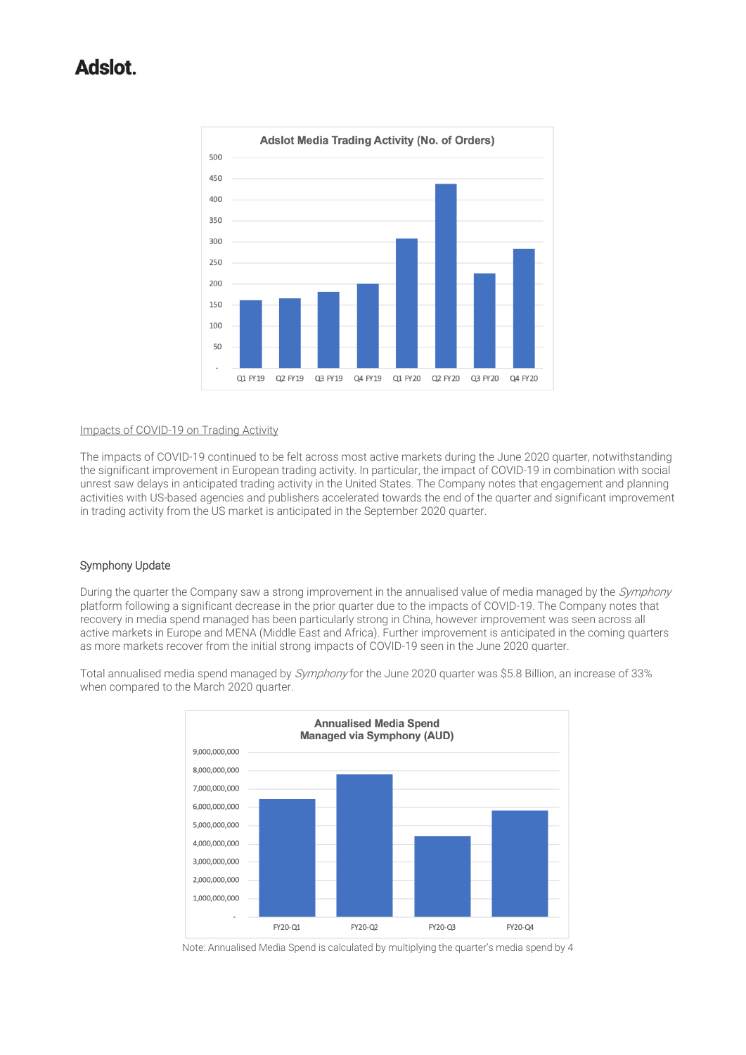## tolahA



#### Impacts of COVID-19 on Trading Activity

The impacts of COVID-19 continued to be felt across most active markets during the June 2020 quarter, notwithstanding the significant improvement in European trading activity. In particular, the impact of COVID-19 in combination with social unrest saw delays in anticipated trading activity in the United States. The Company notes that engagement and planning activities with US-based agencies and publishers accelerated towards the end of the quarter and significant improvement in trading activity from the US market is anticipated in the September 2020 quarter.

#### Symphony Update

During the quarter the Company saw a strong improvement in the annualised value of media managed by the Symphony platform following a significant decrease in the prior quarter due to the impacts of COVID-19. The Company notes that recovery in media spend managed has been particularly strong in China, however improvement was seen across all active markets in Europe and MENA (Middle East and Africa). Further improvement is anticipated in the coming quarters as more markets recover from the initial strong impacts of COVID-19 seen in the June 2020 quarter.



Total annualised media spend managed by Symphony for the June 2020 quarter was \$5.8 Billion, an increase of 33% when compared to the March 2020 quarter.

Note: Annualised Media Spend is calculated by multiplying the quarter's media spend by 4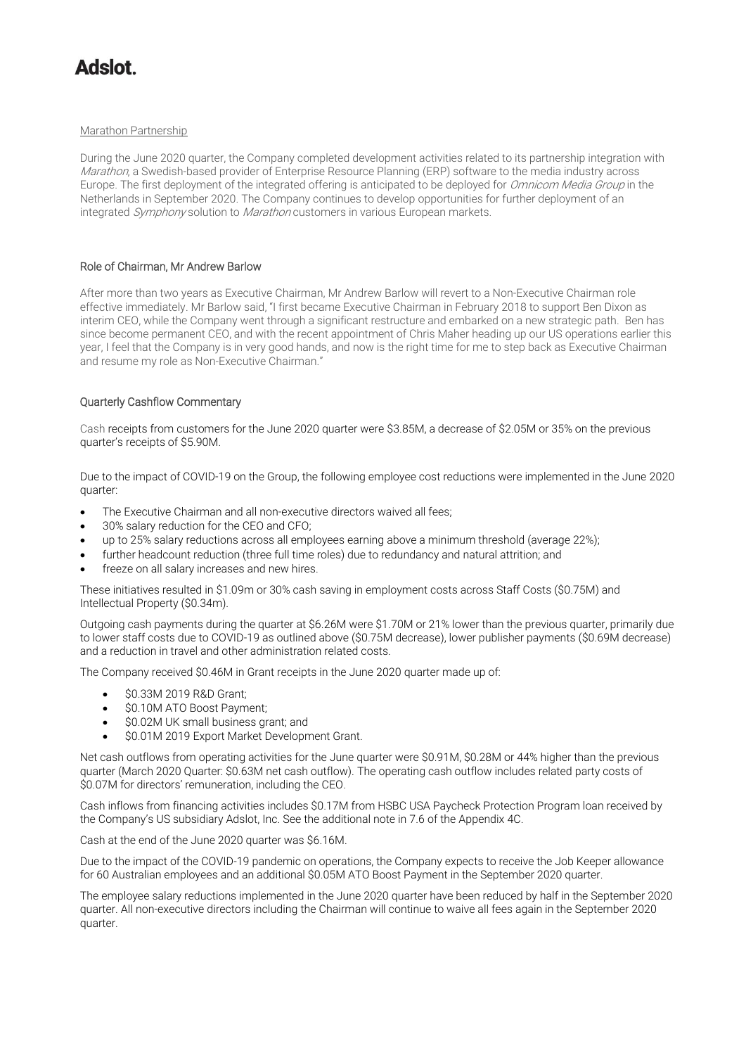# tolahA

#### Marathon Partnership

During the June 2020 quarter, the Company completed development activities related to its partnership integration with Marathon, a Swedish-based provider of Enterprise Resource Planning (ERP) software to the media industry across Europe. The first deployment of the integrated offering is anticipated to be deployed for Omnicom Media Group in the Netherlands in September 2020. The Company continues to develop opportunities for further deployment of an integrated Symphony solution to Marathon customers in various European markets.

## Role of Chairman, Mr Andrew Barlow

After more than two years as Executive Chairman, Mr Andrew Barlow will revert to a Non-Executive Chairman role effective immediately. Mr Barlow said, "I first became Executive Chairman in February 2018 to support Ben Dixon as interim CEO, while the Company went through a significant restructure and embarked on a new strategic path. Ben has since become permanent CEO, and with the recent appointment of Chris Maher heading up our US operations earlier this year, I feel that the Company is in very good hands, and now is the right time for me to step back as Executive Chairman and resume my role as Non-Executive Chairman."

## Quarterly Cashflow Commentary

Cash receipts from customers for the June 2020 quarter were \$3.85M, a decrease of \$2.05M or 35% on the previous quarter's receipts of \$5.90M.

Due to the impact of COVID-19 on the Group, the following employee cost reductions were implemented in the June 2020 quarter:

- The Executive Chairman and all non-executive directors waived all fees;
- 30% salary reduction for the CEO and CFO;
- up to 25% salary reductions across all employees earning above a minimum threshold (average 22%);
- further headcount reduction (three full time roles) due to redundancy and natural attrition; and
- freeze on all salary increases and new hires.

These initiatives resulted in \$1.09m or 30% cash saving in employment costs across Staff Costs (\$0.75M) and Intellectual Property (\$0.34m).

Outgoing cash payments during the quarter at \$6.26M were \$1.70M or 21% lower than the previous quarter, primarily due to lower staff costs due to COVID-19 as outlined above (\$0.75M decrease), lower publisher payments (\$0.69M decrease) and a reduction in travel and other administration related costs.

The Company received \$0.46M in Grant receipts in the June 2020 quarter made up of:

- \$0.33M 2019 R&D Grant:
- \$0.10M ATO Boost Payment;
- \$0.02M UK small business grant; and
- \$0.01M 2019 Export Market Development Grant.

Net cash outflows from operating activities for the June quarter were \$0.91M, \$0.28M or 44% higher than the previous quarter (March 2020 Quarter: \$0.63M net cash outflow). The operating cash outflow includes related party costs of \$0.07M for directors' remuneration, including the CEO.

Cash inflows from financing activities includes \$0.17M from HSBC USA Paycheck Protection Program loan received by the Company's US subsidiary Adslot, Inc. See the additional note in 7.6 of the Appendix 4C.

Cash at the end of the June 2020 quarter was \$6.16M.

Due to the impact of the COVID-19 pandemic on operations, the Company expects to receive the Job Keeper allowance for 60 Australian employees and an additional \$0.05M ATO Boost Payment in the September 2020 quarter.

The employee salary reductions implemented in the June 2020 quarter have been reduced by half in the September 2020 quarter. All non-executive directors including the Chairman will continue to waive all fees again in the September 2020 quarter.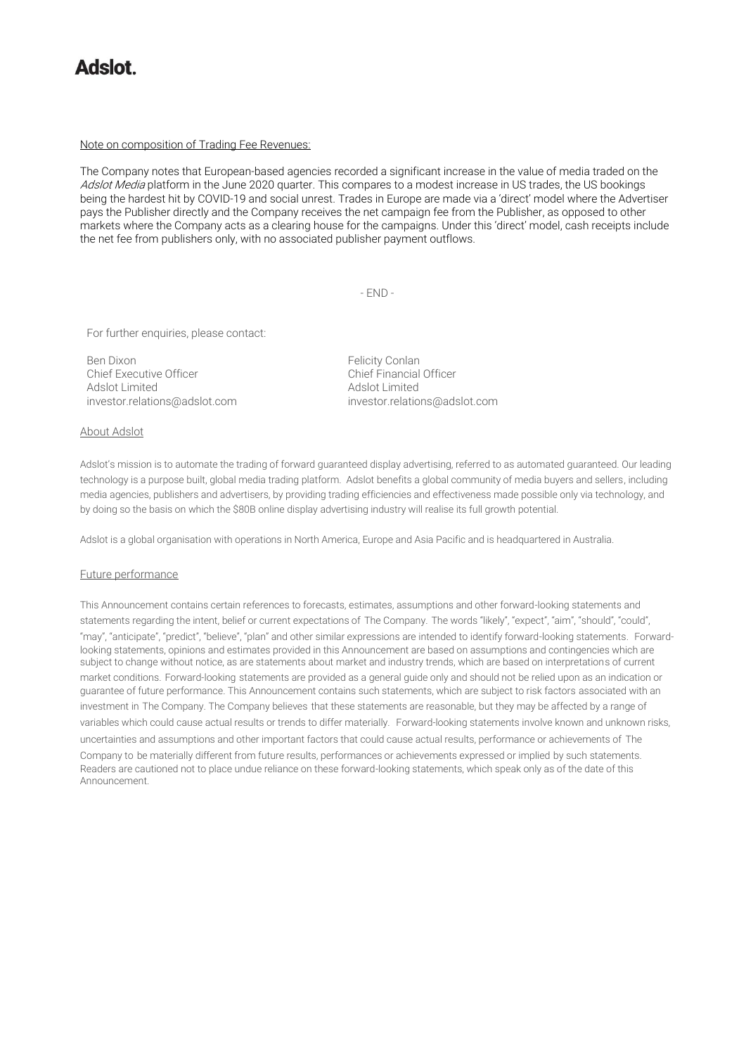## tolehA

#### Note on composition of Trading Fee Revenues:

The Company notes that European-based agencies recorded a significant increase in the value of media traded on the Adslot Media platform in the June 2020 quarter. This compares to a modest increase in US trades, the US bookings being the hardest hit by COVID-19 and social unrest. Trades in Europe are made via a 'direct' model where the Advertiser pays the Publisher directly and the Company receives the net campaign fee from the Publisher, as opposed to other markets where the Company acts as a clearing house for the campaigns. Under this 'direct' model, cash receipts include the net fee from publishers only, with no associated publisher payment outflows.

- END -

For further enquiries, please contact:

Ben Dixon<br>Chief Executive Officer Chief Einancial Officer<br>Chief Einancial Officer Chief Executive Officer Adslot Limited<br>
investor.relations@adslot.com<br>
investor.relations@adslot.com<br>
investor.relations@adslot.com [investor.relations@adslot.com](mailto:info@adslot.com.au) investor.relations@adslot.com

#### About Adslot

Adslot's mission is to automate the trading of forward guaranteed display advertising, referred to as automated guaranteed. Our leading technology is a purpose built, global media trading platform. Adslot benefits a global community of media buyers and sellers, including media agencies, publishers and advertisers, by providing trading efficiencies and effectiveness made possible only via technology, and by doing so the basis on which the \$80B online display advertising industry will realise its full growth potential.

Adslot is a global organisation with operations in North America, Europe and Asia Pacific and is headquartered in Australia.

#### Future performance

This Announcement contains certain references to forecasts, estimates, assumptions and other forward-looking statements and statements regarding the intent, belief or current expectations of The Company. The words "likely", "expect", "aim", "should", "could", "may", "anticipate", "predict", "believe", "plan" and other similar expressions are intended to identify forward-looking statements. Forwardlooking statements, opinions and estimates provided in this Announcement are based on assumptions and contingencies which are subject to change without notice, as are statements about market and industry trends, which are based on interpretations of current market conditions. Forward-looking statements are provided as a general guide only and should not be relied upon as an indication or guarantee of future performance. This Announcement contains such statements, which are subject to risk factors associated with an investment in The Company. The Company believes that these statements are reasonable, but they may be affected by a range of variables which could cause actual results or trends to differ materially. Forward-looking statements involve known and unknown risks, uncertainties and assumptions and other important factors that could cause actual results, performance or achievements of The Company to be materially different from future results, performances or achievements expressed or implied by such statements. Readers are cautioned not to place undue reliance on these forward-looking statements, which speak only as of the date of this Announcement.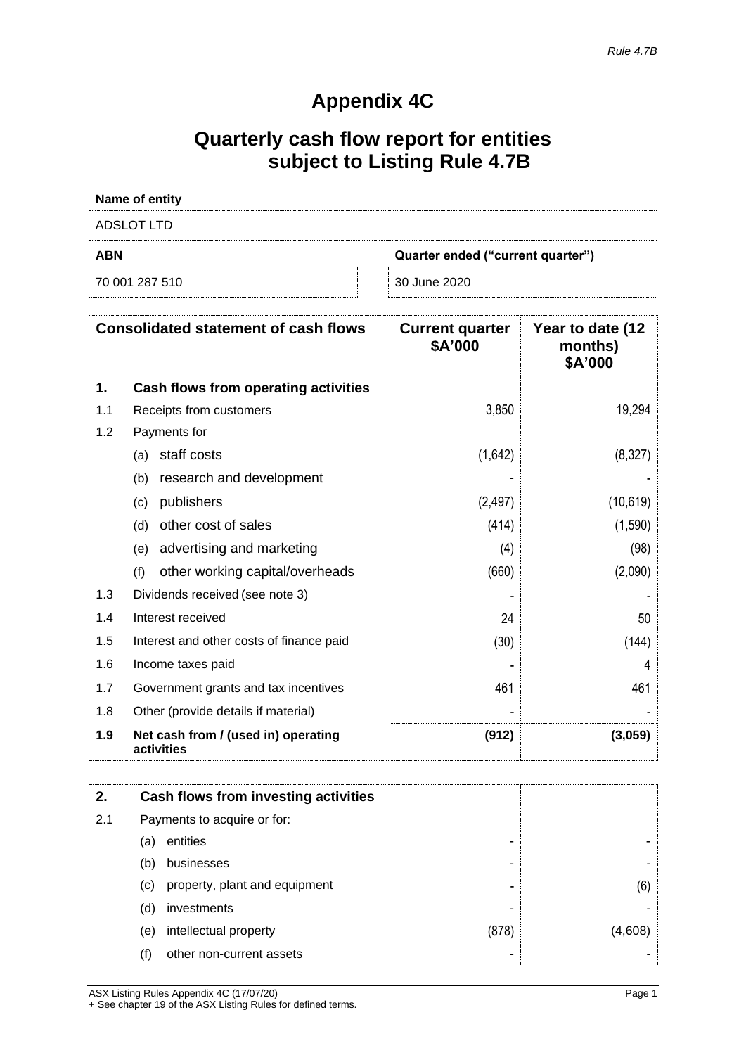## **Appendix 4C**

# **Quarterly cash flow report for entities subject to Listing Rule 4.7B**

| Name of entity |                                   |
|----------------|-----------------------------------|
| ADSLOT LTD     |                                   |
| <b>ABN</b>     | Quarter ended ("current quarter") |
| 70 001 287 510 | 30 June 2020                      |

|     | <b>Consolidated statement of cash flows</b>       | <b>Current quarter</b><br>\$A'000 | Year to date (12<br>months)<br>\$A'000 |
|-----|---------------------------------------------------|-----------------------------------|----------------------------------------|
| 1.  | Cash flows from operating activities              |                                   |                                        |
| 1.1 | Receipts from customers                           | 3,850                             | 19,294                                 |
| 1.2 | Payments for                                      |                                   |                                        |
|     | staff costs<br>(a)                                | (1,642)                           | (8,327)                                |
|     | research and development<br>(b)                   |                                   |                                        |
|     | publishers<br>(c)                                 | (2, 497)                          | (10,619)                               |
|     | other cost of sales<br>(d)                        | (414)                             | (1,590)                                |
|     | advertising and marketing<br>(e)                  | (4)                               | (98)                                   |
|     | other working capital/overheads<br>(f)            | (660)                             | (2,090)                                |
| 1.3 | Dividends received (see note 3)                   |                                   |                                        |
| 1.4 | Interest received                                 | 24                                | 50                                     |
| 1.5 | Interest and other costs of finance paid          | (30)                              | (144)                                  |
| 1.6 | Income taxes paid                                 |                                   | 4                                      |
| 1.7 | Government grants and tax incentives              | 461                               | 461                                    |
| 1.8 | Other (provide details if material)               |                                   |                                        |
| 1.9 | Net cash from / (used in) operating<br>activities | (912)                             | (3,059)                                |

| 2.  |                             | Cash flows from investing activities |       |         |
|-----|-----------------------------|--------------------------------------|-------|---------|
| 2.1 | Payments to acquire or for: |                                      |       |         |
|     | (a)                         | entities                             | -     |         |
|     | (b)                         | businesses                           |       |         |
|     | $\left( \mathrm{c}\right)$  | property, plant and equipment        | ۰     | (6)     |
|     | (d)                         | investments                          | -     |         |
|     | (e)                         | intellectual property                | (878) | (4,608) |
|     | (f)                         | other non-current assets             |       |         |

ASX Listing Rules Appendix 4C (17/07/20) Page 1 + See chapter 19 of the ASX Listing Rules for defined terms.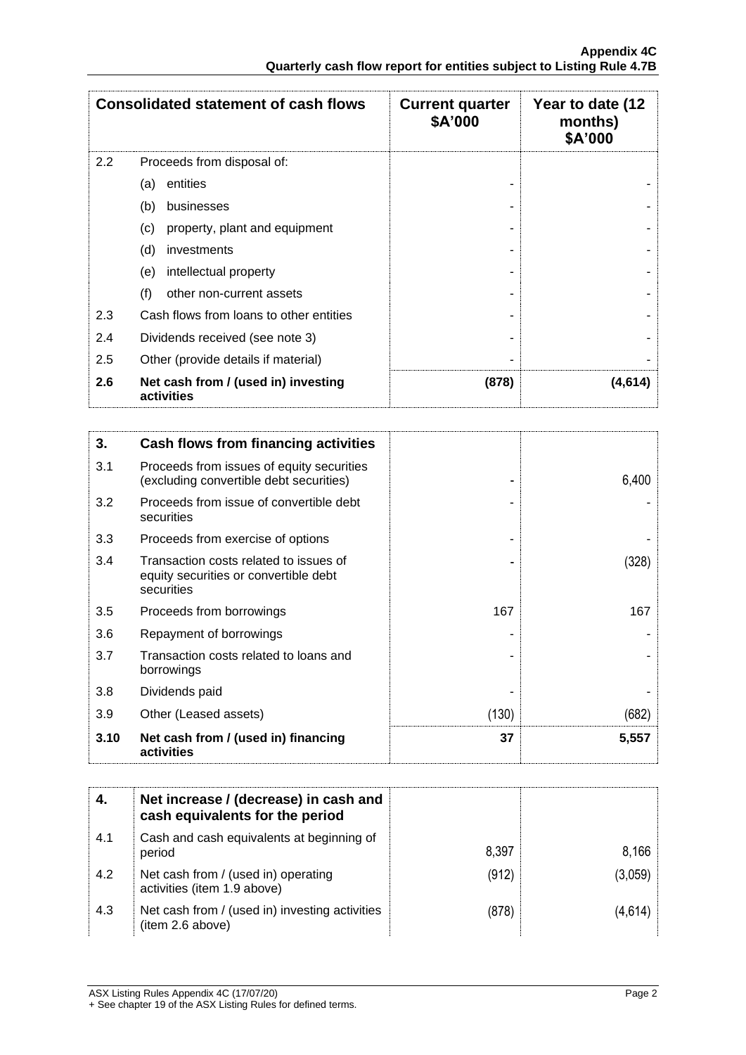|         | <b>Consolidated statement of cash flows</b>       | <b>Current quarter</b><br>\$A'000 | Year to date (12<br>months)<br>\$A'000 |
|---------|---------------------------------------------------|-----------------------------------|----------------------------------------|
| $2.2\,$ | Proceeds from disposal of:                        |                                   |                                        |
|         | entities<br>(a)                                   |                                   |                                        |
|         | (b)<br>businesses                                 |                                   |                                        |
|         | property, plant and equipment<br>(c)              |                                   |                                        |
|         | (d)<br>investments                                |                                   |                                        |
|         | intellectual property<br>(e)                      |                                   |                                        |
|         | (f)<br>other non-current assets                   |                                   |                                        |
| 2.3     | Cash flows from loans to other entities           |                                   |                                        |
| 2.4     | Dividends received (see note 3)                   |                                   |                                        |
| 2.5     | Other (provide details if material)               |                                   |                                        |
| 2.6     | Net cash from / (used in) investing<br>activities | (878)                             | (4,614)                                |

| 3.   | Cash flows from financing activities                                                          |       |       |
|------|-----------------------------------------------------------------------------------------------|-------|-------|
| 3.1  | Proceeds from issues of equity securities<br>(excluding convertible debt securities)          |       | 6,400 |
| 3.2  | Proceeds from issue of convertible debt<br>securities                                         |       |       |
| 3.3  | Proceeds from exercise of options                                                             |       |       |
| 3.4  | Transaction costs related to issues of<br>equity securities or convertible debt<br>securities |       | (328) |
| 3.5  | Proceeds from borrowings                                                                      | 167   | 167   |
| 3.6  | Repayment of borrowings                                                                       |       |       |
| 3.7  | Transaction costs related to loans and<br>borrowings                                          |       |       |
| 3.8  | Dividends paid                                                                                |       |       |
| 3.9  | Other (Leased assets)                                                                         | (130) | (682) |
| 3.10 | Net cash from / (used in) financing<br>activities                                             | 37    | 5,557 |

|     | Net increase / (decrease) in cash and<br>cash equivalents for the period |       |         |
|-----|--------------------------------------------------------------------------|-------|---------|
| 4.1 | Cash and cash equivalents at beginning of<br>period                      | 8,397 | 8,166   |
| 4.2 | Net cash from / (used in) operating<br>activities (item 1.9 above)       | (912) | (3,059) |
| 4.3 | Net cash from / (used in) investing activities<br>(item 2.6 above)       | (878) | (4,614) |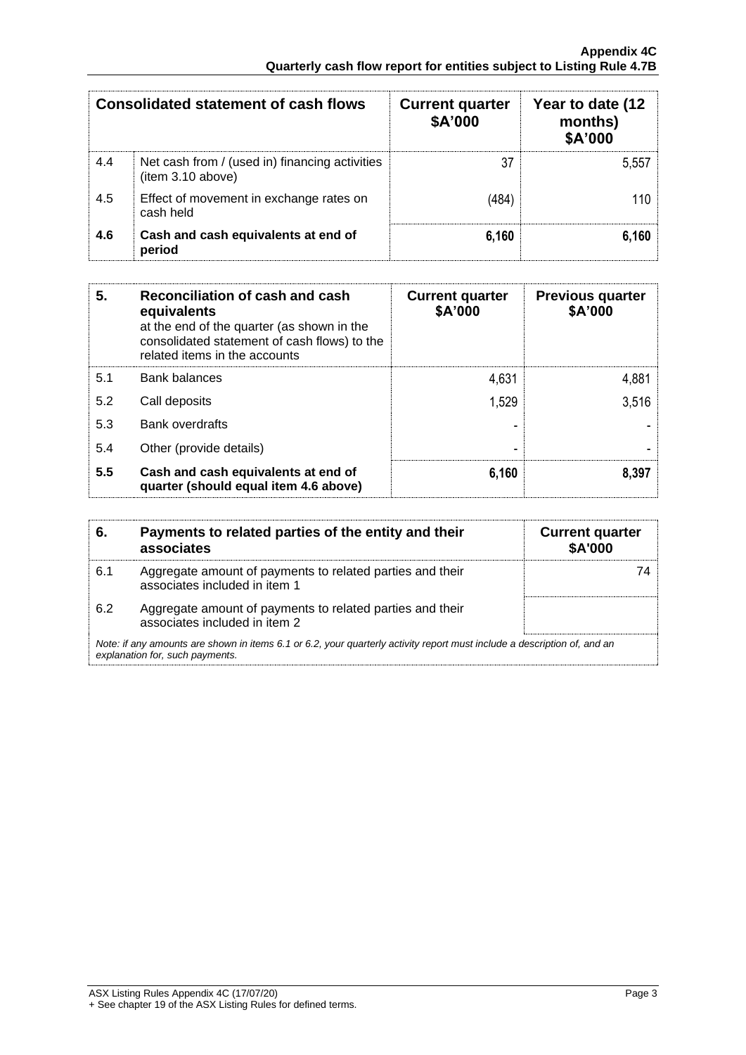| <b>Consolidated statement of cash flows</b> |                                                                    | <b>Current quarter</b><br>\$A'000 | Year to date (12<br>months)<br>\$A'000 |
|---------------------------------------------|--------------------------------------------------------------------|-----------------------------------|----------------------------------------|
| 4.4                                         | Net cash from / (used in) financing activities<br>item 3.10 above) | 37                                | 5,557                                  |
| 4.5                                         | Effect of movement in exchange rates on<br>cash held               | (484)                             | 110                                    |
| 4.6                                         | Cash and cash equivalents at end of<br>period                      | 6,160                             | 6.160                                  |

| 5.  | Reconciliation of cash and cash<br>equivalents<br>at the end of the quarter (as shown in the<br>consolidated statement of cash flows) to the<br>related items in the accounts | <b>Current quarter</b><br>\$A'000 | <b>Previous quarter</b><br>\$A'000 |
|-----|-------------------------------------------------------------------------------------------------------------------------------------------------------------------------------|-----------------------------------|------------------------------------|
| 5.1 | <b>Bank balances</b>                                                                                                                                                          | 4,631                             | 4,881                              |
| 5.2 | Call deposits                                                                                                                                                                 | 1,529                             | 3,516                              |
| 5.3 | Bank overdrafts                                                                                                                                                               |                                   |                                    |
| 5.4 | Other (provide details)                                                                                                                                                       |                                   |                                    |
| 5.5 | Cash and cash equivalents at end of<br>quarter (should equal item 4.6 above)                                                                                                  | 6,160                             | 8,397                              |

| 6.  | Payments to related parties of the entity and their<br>associates                                                                                           | <b>Current quarter</b><br><b>\$A'000</b> |  |
|-----|-------------------------------------------------------------------------------------------------------------------------------------------------------------|------------------------------------------|--|
| 6.1 | Aggregate amount of payments to related parties and their<br>associates included in item 1                                                                  |                                          |  |
| 6.2 | Aggregate amount of payments to related parties and their<br>associates included in item 2                                                                  |                                          |  |
|     | Note: if any amounts are shown in items 6.1 or 6.2, your quarterly activity report must include a description of, and an<br>explanation for, such payments. |                                          |  |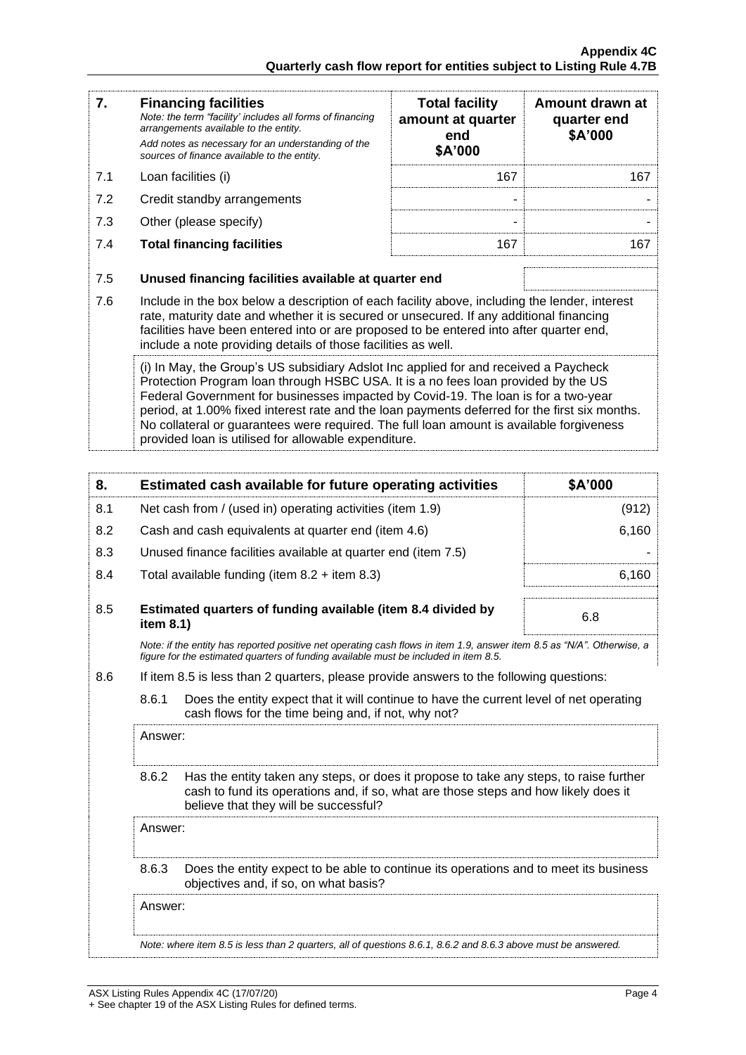| 7.  | <b>Financing facilities</b><br>Note: the term "facility' includes all forms of financing<br>arrangements available to the entity.<br>Add notes as necessary for an understanding of the<br>sources of finance available to the entity.                                                                                                                                                                                                                                                                               | <b>Total facility</b><br>amount at quarter<br>end<br>\$A'000 | Amount drawn at<br>quarter end<br>\$A'000 |
|-----|----------------------------------------------------------------------------------------------------------------------------------------------------------------------------------------------------------------------------------------------------------------------------------------------------------------------------------------------------------------------------------------------------------------------------------------------------------------------------------------------------------------------|--------------------------------------------------------------|-------------------------------------------|
| 7.1 | Loan facilities (i)                                                                                                                                                                                                                                                                                                                                                                                                                                                                                                  | 167                                                          | 167                                       |
| 7.2 | Credit standby arrangements                                                                                                                                                                                                                                                                                                                                                                                                                                                                                          |                                                              |                                           |
| 7.3 | Other (please specify)                                                                                                                                                                                                                                                                                                                                                                                                                                                                                               |                                                              |                                           |
| 7.4 | <b>Total financing facilities</b>                                                                                                                                                                                                                                                                                                                                                                                                                                                                                    | 167                                                          | 167                                       |
| 7.5 | Unused financing facilities available at quarter end                                                                                                                                                                                                                                                                                                                                                                                                                                                                 |                                                              |                                           |
| 7.6 | Include in the box below a description of each facility above, including the lender, interest<br>rate, maturity date and whether it is secured or unsecured. If any additional financing<br>facilities have been entered into or are proposed to be entered into after quarter end,<br>include a note providing details of those facilities as well.                                                                                                                                                                 |                                                              |                                           |
|     | (i) In May, the Group's US subsidiary Adslot Inc applied for and received a Paycheck<br>Protection Program loan through HSBC USA. It is a no fees loan provided by the US<br>Federal Government for businesses impacted by Covid-19. The loan is for a two-year<br>period, at 1.00% fixed interest rate and the loan payments deferred for the first six months.<br>No collateral or guarantees were required. The full loan amount is available forgiveness<br>provided loan is utilised for allowable expenditure. |                                                              |                                           |

| 8.  |           | Estimated cash available for future operating activities                                                                                                                                                               | \$A'000 |
|-----|-----------|------------------------------------------------------------------------------------------------------------------------------------------------------------------------------------------------------------------------|---------|
| 8.1 |           | Net cash from / (used in) operating activities (item 1.9)                                                                                                                                                              | (912)   |
| 8.2 |           | Cash and cash equivalents at quarter end (item 4.6)                                                                                                                                                                    | 6,160   |
| 8.3 |           | Unused finance facilities available at quarter end (item 7.5)                                                                                                                                                          |         |
| 8.4 |           | Total available funding (item $8.2 +$ item $8.3$ )                                                                                                                                                                     | 6,160   |
| 8.5 | item 8.1) | Estimated quarters of funding available (item 8.4 divided by                                                                                                                                                           | 6.8     |
|     |           | Note: if the entity has reported positive net operating cash flows in item 1.9, answer item 8.5 as "N/A". Otherwise, a<br>figure for the estimated quarters of funding available must be included in item 8.5.         |         |
| 8.6 |           | If item 8.5 is less than 2 quarters, please provide answers to the following questions:                                                                                                                                |         |
|     | 8.6.1     | Does the entity expect that it will continue to have the current level of net operating<br>cash flows for the time being and, if not, why not?                                                                         |         |
|     | Answer:   |                                                                                                                                                                                                                        |         |
|     | 8.6.2     | Has the entity taken any steps, or does it propose to take any steps, to raise further<br>cash to fund its operations and, if so, what are those steps and how likely does it<br>believe that they will be successful? |         |
|     | Answer:   |                                                                                                                                                                                                                        |         |
|     | 8.6.3     | Does the entity expect to be able to continue its operations and to meet its business<br>objectives and, if so, on what basis?                                                                                         |         |
|     | Answer:   |                                                                                                                                                                                                                        |         |

*Note: where item 8.5 is less than 2 quarters, all of questions 8.6.1, 8.6.2 and 8.6.3 above must be answered.*